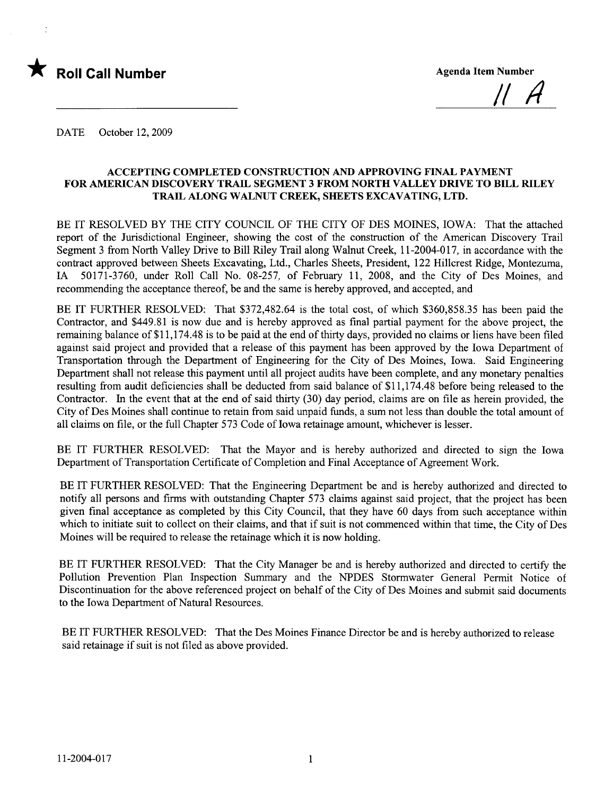

 $\ddot{\cdot}$ 

<u>|| A</u>

DATE October 12, 2009

### ACCEPTING COMPLETED CONSTRUCTION AND APPROVING FINAL PAYMENT FOR AMERICAN DISCOVERY TRAIL SEGMENT 3 FROM NORTH VALLEY DRIVE TO BILL RILEY TRAIL ALONG WALNUT CREEK, SHEETS EXCAVATING, LTD.

BE IT RESOLVED BY THE CITY COUNCIL OF THE CITY OF DES MOINES, IOWA: That the attached report of the Jurisdictional Engineer, showing the cost of the construction of the American Discovery Trail Segment 3 from North Valley Drive to Bil Riley Trail along Walnut Creek, 11-2004-017, in accordance with the contract approved between Sheets Excavating, Ltd., Charles Sheets, President, 122 Hilcrest Ridge, Montezuma, IA 50171-3760, under Roll Call No. 08-257, of February 11, 2008, and the City of Des Moines, and recommending the acceptance thereof, be and the same is hereby approved, and accepted, and

BE IT FURTHER RESOLVED: That \$372,482.64 is the total cost, of which \$360,858.35 has been paid the Contractor, and \$449.81 is now due and is hereby approved as final partial payment for the above project, the remaining balance of \$11,174.48 is to be paid at the end of thirty days, provided no claims or liens have been filed against said project and provided that a release of this payment has been approved by the Iowa Department of Transportation through the Department of Engineering for the City of Des Moines, Iowa. Said Engineering Department shall not release this payment until all project audits have been complete, and any monetary penalties resulting from audit deficiencies shall be deducted from said balance of \$11,174.48 before being released to the Contractor. In the event that at the end of said thirty (30) day period, claims are on file as herein provided, the City of Des Moines shall continue to retain from said unpaid fuds, a sum not less than double the total amount of all claims on file, or the full Chapter 573 Code of Iowa retainage amount, whichever is lesser.

BE IT FURTHER RESOLVED: That the Mayor and is hereby authorized and directed to sign the Iowa Department of Transportation Certificate of Completion and Final Acceptance of Agreement Work.

BE IT FURTHER RESOLVED: That the Engineering Department be and is hereby authorized and directed to notify all persons and firms with outstanding Chapter 573 claims against said project, that the project has been given final acceptance as completed by this City Council, that they have 60 days from such acceptance within which to initiate suit to collect on their claims, and that if suit is not commenced within that time, the City of Des Moines will be required to release the retainage which it is now holding.

BE IT FURTHER RESOLVED: That the City Manager be and is hereby authorized and directed to certify the Pollution Prevention Plan Inspection Summary and the NPDES Stormwater General Permit Notice of Discontinuation for the above referenced project on behalf of the City of Des Moines and submit said documents to the Iowa Department of Natural Resources.

BE IT FURTHER RESOLVED: That the Des Moines Finance Director be and is hereby authorized to release said retainage if suit is not filed as above provided.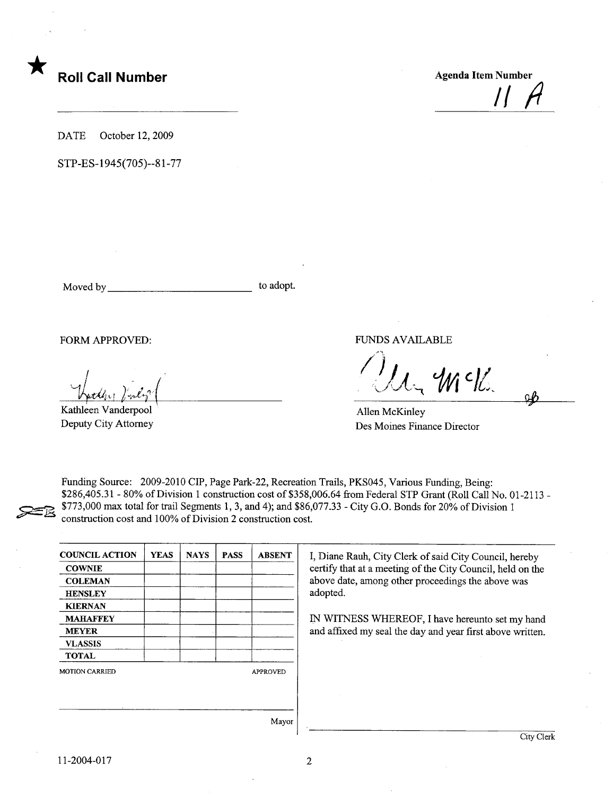

Roll Call Number Agenda Item Number /1 II

DATE October 12,2009

STP-ES-1945(705)--81-77

Moved by to adopt.

I 1 'n v erl butthe lines

Katheen Vanderpool Deputy City Attorney

FORM APPROVED: THE RESERVED OF THE RESERVED OF THE RESERVED OF THE RESERVED OF THE RESERVED OF THE RESERVED OF THE RESERVED OF THE RESERVED OF THE RESERVED OF THE RESERVED OF THE RESERVED OF THE RESERVED OF THE RESERVED OF

 $10<\alpha$ 

Allen McKinley Des Moines Finance Director

Funding Source: 2009-2010 CIP, Page Park-22, Recreation Trails, PKS045, Various Funding, Being: \$286,405.31 - 80% of Division 1 construction cost of \$358,006.64 from Federal STP Grant (Roll Call No. 01-2113 -~ \$773,000 max total for trail Segments 1,3, and 4); and \$86,077.33 - City G.O. Bonds for 20% of Division 1 construction cost and 100% of Division 2 construction cost.

| <b>COUNCIL ACTION</b> | <b>YEAS</b> | <b>NAYS</b> | <b>PASS</b> | <b>ABSENT</b>   | I, Diane Rauh, City Clerk of said City Council, hereby     |
|-----------------------|-------------|-------------|-------------|-----------------|------------------------------------------------------------|
| <b>COWNIE</b>         |             |             |             |                 | certify that at a meeting of the City Council, held on the |
| <b>COLEMAN</b>        |             |             |             |                 | above date, among other proceedings the above was          |
| <b>HENSLEY</b>        |             |             |             |                 | adopted.                                                   |
| <b>KIERNAN</b>        |             |             |             |                 |                                                            |
| <b>MAHAFFEY</b>       |             |             |             |                 | IN WITNESS WHEREOF, I have hereunto set my hand            |
| <b>MEYER</b>          |             |             |             |                 | and affixed my seal the day and year first above written.  |
| <b>VLASSIS</b>        |             |             |             |                 |                                                            |
| <b>TOTAL</b>          |             |             |             |                 |                                                            |
| <b>MOTION CARRIED</b> |             |             |             | <b>APPROVED</b> |                                                            |
|                       |             |             |             |                 |                                                            |
|                       |             |             |             |                 |                                                            |
|                       |             |             |             |                 |                                                            |
|                       |             |             |             | Mayor           |                                                            |

 $\mathfrak{B}$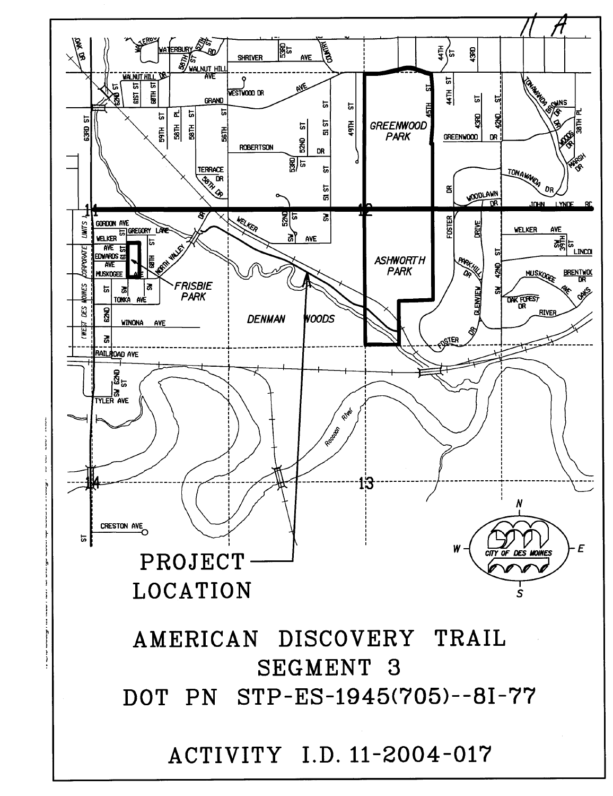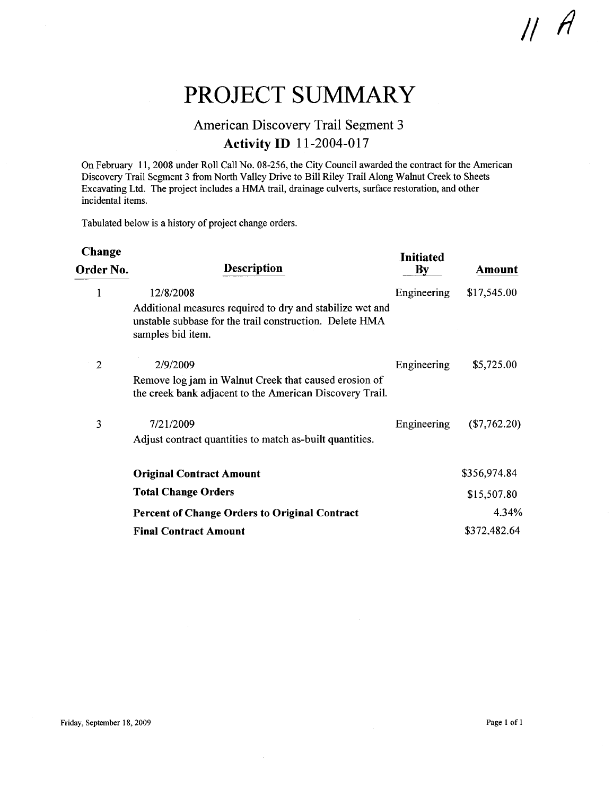# PROJECT SUMMARY

## American Discovery Trail Segment 3 **Activity ID** 11-2004-017

On February 11, 2008 under Roll Call No. 08-256, the City Council awarded the contract for the American Discovery Trail Segment 3 from North Valley Drive to Bil Riley Trail Along Walnut Creek to Sheets Excavating Ltd. The project includes a HMA trail, drainage culverts, surface restoration, and other incidental items.

Tabulated below is a history of project change orders.

| Change<br>Order No. | <b>Description</b>                                                                                                                                     | <b>Initiated</b><br>$\mathbf{B}\mathbf{y}$ | <b>Amount</b> |
|---------------------|--------------------------------------------------------------------------------------------------------------------------------------------------------|--------------------------------------------|---------------|
| $\mathbf{1}$        | 12/8/2008<br>Additional measures required to dry and stabilize wet and<br>unstable subbase for the trail construction. Delete HMA<br>samples bid item. | Engineering                                | \$17,545.00   |
| $\overline{2}$      | 2/9/2009<br>Remove log jam in Walnut Creek that caused erosion of<br>the creek bank adjacent to the American Discovery Trail.                          | Engineering                                | \$5,725.00    |
| 3                   | 7/21/2009<br>Adjust contract quantities to match as-built quantities.                                                                                  | Engineering                                | (\$7,762.20)  |
|                     | <b>Original Contract Amount</b>                                                                                                                        |                                            | \$356,974.84  |
|                     | <b>Total Change Orders</b>                                                                                                                             |                                            | \$15,507.80   |
|                     | <b>Percent of Change Orders to Original Contract</b>                                                                                                   |                                            | 4.34%         |
|                     | <b>Final Contract Amount</b>                                                                                                                           |                                            | \$372,482.64  |

 $II$   $A$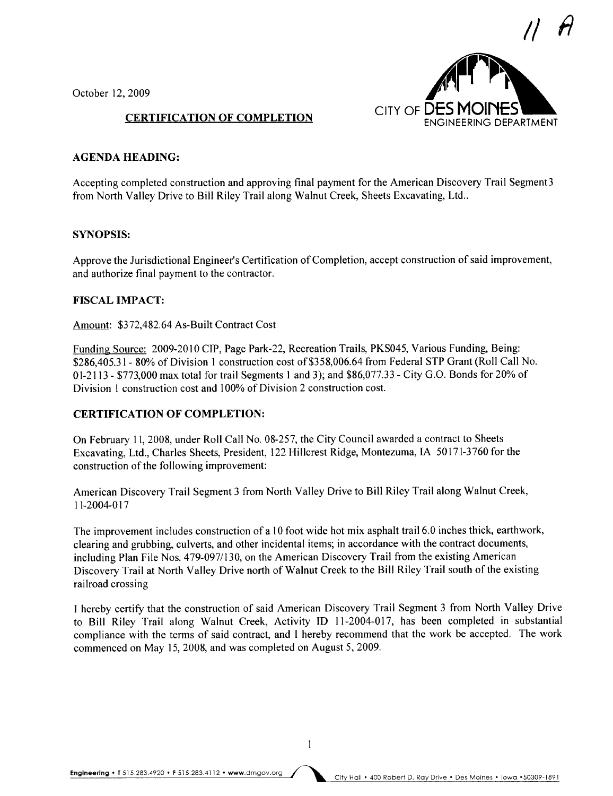October 12, 2009



### AGENDA HEADING:

Accepting completed construction and approving final payment for the American Discovery Trail Segment3 from North Valley Drive to Bill Riley Trail along Walnut Creek, Sheets Excavating, Ltd..

### SYNOPSIS:

Approve the Jurisdictional Engineer's Certification of Completion, accept construction of said improvement, and authorize final payment to the contractor.

### FISCAL IMPACT:

Amount: \$372,482.64 As-Built Contract Cost

Funding Source: 2009-2010 CIP, Page Park-22, Recreation Trails, PKS045, Various Funding, Being: \$286,405.31 - 80% of Division 1 construction cost of \$358,006.64 from Federal STP Grant (Roll Call No. o 1-2 I 13 - \$773,000 max total for trail Segments I and 3); and \$86,077.33 - City G.O. Bonds for 20% of Division I construction cost and I 00% of Division 2 construction cost.

### CERTIFICATION OF COMPLETION:

On February I I, 2008, under Roll Call No. 08-257, the City Council awarded a contract to Sheets Excavating, Ltd., Charles Sheets, President, 122 Hillcrest Ridge, Montezuma, IA 50171-3760 for the construction of the following improvement:

American Discovery Trail Segment 3 from North Valley Drive to Bil Riley Trail along Walnut Creek, I 1-2004-0 I 7

The improvement includes construction of a 10 foot wide hot mix asphalt trail 6.0 inches thick, earthwork, clearing and grubbing, culverts, and other incidental items; in accordance with the contract documents, including Plan File Nos. 479-0971130, on the American Discovery Trail from the existing American Discovery Trail at North Valley Drive north of Walnut Creek to the Bill Riley Trail south of the existing railroad crossing

I hereby certify that the construction of said American Discovery Trail Segment 3 from North Valley Drive to Bill Riley Trail along Walnut Creek, Activity ID 11-2004-017, has been completed in substantial compliance with the terms of said contract, and I hereby recommend that the work be accepted. The work commenced on May 15, 2008, and was completed on August 5, 2009.

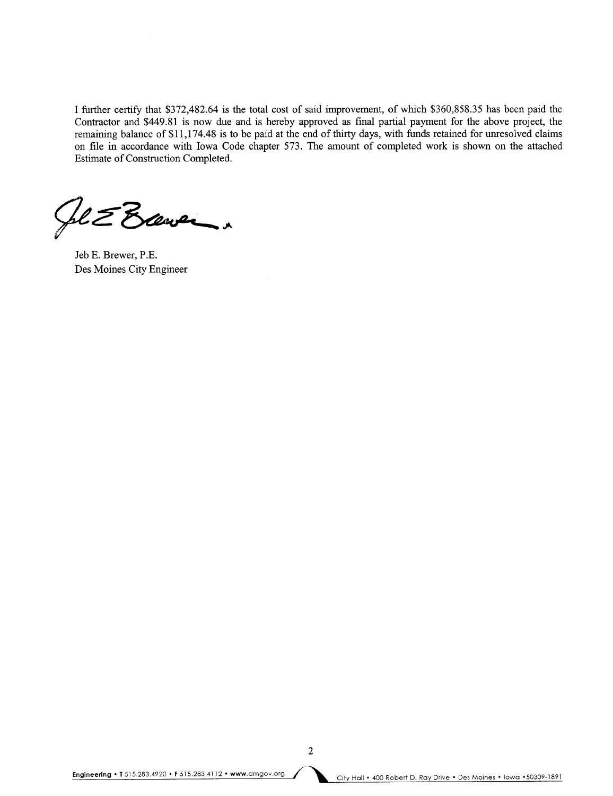I further certify that \$372,482.64 is the total cost of said improvement, of which \$360,858.35 has been paid the Contractor and \$449.81 is now due and is hereby approved as final partial payment for the above project, the remaining balance of \$11,174.48 is to be paid at the end of thirty days, with funds retained for unresolved claims on fie in accordance with Iowa Code chapter 573. The amount of completed work is shown on the attached Estimate of Construction Completed.

Ge & Brewer

Jeb E. Brewer, P.E. Des Moines City Engineer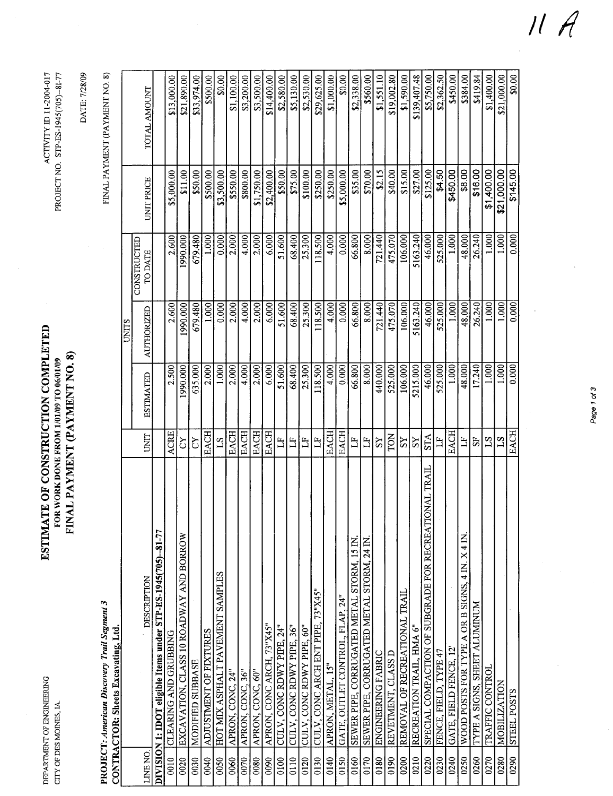DEPARTMENT OF ENGINEERING CITY OF DES MOINES, IA. PROJECT: American Discovery Trail Segment 3

# ESTIMATE OF CONSTRUCTION COMPLETED FOR WORK DONE FROM 1/01/09 TO 06/01/09<br>FINAL PAYMENT (PAYMENT NO. 8)

ACTIVITY ID 11-2004-017 PROJECT NO. STP-ES-1945(705)--81-77 DATE: 7/28/09

FINAL PAYMENT (PAYMENT NO. 8)

|          | <b>CONTRACTOR: Sheets Excavating, Ltd</b>                     |              |                  |                   |             |                   |              |
|----------|---------------------------------------------------------------|--------------|------------------|-------------------|-------------|-------------------|--------------|
|          |                                                               |              |                  | UNITS             |             |                   |              |
| LINE NO. | DESCRIPTION                                                   | UNIT         |                  | <b>AUTHORIZED</b> | CONSTRUCTED | <b>UNIT PRICE</b> |              |
|          | DIVISION 1: IDOT eligible Items under STP-ES-1945(705)--81-77 |              | <b>ESTIMATED</b> |                   | TO DATE     |                   | TOTAL AMOUNT |
| 0010     | CLEARING AND GRUBBING                                         | ACRE         | 2.500            | 2.600             | 2.600       | \$5,000.00        | \$13,000.00  |
| 0020     | EXCAVATION, CLASS 10 ROADWAY AND BORROW                       | č            | 1990.000         | 1990.000          | 1990.000    | \$11.00           | \$21,890.00  |
| 0030     | MODIFIED SUBBASE                                              | S,           | 635.000          | 679.480           | 679.480     | \$50.00           | \$33,974.00  |
| 0040     | ADJUSTMENT OF FIXTURES                                        | <b>EACH</b>  | 2.000            | 1.000             | 1.000       | \$500.00          | \$500.00     |
| 0050     | HOT MIX ASPHALT PAVEMENT SAMPLES                              | $^{21}$      | 1.000            | 0.000             | 0.000       | \$3,500.00        | \$0.00       |
| 0060     | APRON, CONC, 24"                                              | <b>EACH</b>  | 2.000            | 2.000             | 2.000       | \$550.00          | \$1,100.00   |
| 0070     | APRON, CONC, 36"                                              | <b>EACH</b>  | 4.000            | 4.000             | 4.000       | \$800.00          | \$3,200.00   |
| 080      | APRON, CONC, 60"                                              | <b>EACH</b>  | 2.000            | 2.000             | 2.000       | \$1,750.00        | \$3,500.00   |
| 0090     | APRON, CONC ARCH, 73"X45"                                     | EACH         | 6.000            | 6.000             | 6.000       | \$2,400.00        | \$14,400.00  |
| 0100     | CULV, CONCRDWY PIPE, 24"                                      | E            | 51.600           | 51,600            | 51.600      | \$50.00           | \$2,580.00   |
| 0110     | CULV, CONCRDWY PIPE, 36"                                      | $\mathbb{H}$ | 68.400           | 68.400            | 68.400      | \$75.00           | \$5,130.00   |
| 0120     | CULV, CONCRDWY PIPE, 60"                                      | $E_{\rm I}$  | 25,300           | 25.300            | 25,300      | \$100.00          | \$2,530.00   |
| 0130     | CULV, CONC ARCH ENT PIPE, 73"X45"                             | $\mathbf{L}$ | 118.500          | 118.500           | 118.500     | \$250.00          | \$29,625.00  |
| 0140     | APRON, METAL, 15"                                             | <b>EACH</b>  | 4.000            | 4.000             | 4.000       | \$250.00          | \$1,000.00   |
| 0150     | GATE, OUTLET CONTROL, FLAP, 24"                               | <b>EACH</b>  | 0.000            | 0.000             | 0.000       | \$5,000.00        | \$0.00       |
| 0160     | SEWER PIPE, CORRUGATED METAL STORM, 15 IN.                    | $E_{\rm I}$  | 66.800           | 66.800            | 66.800      | \$35.00           | \$2,338.00   |
| 0170     | SEWER PIPE, CORRUGATED METAL STORM, 24 IN.                    | $\Xi$        | 8.000            | 8.000             | 8.000       | \$70.00           | \$560.00     |
| 0180     | ENGINEERING FABRIC                                            | SS           | 440.000          | 721.440           | 721.440     | \$2.15            | \$1,551.10   |
| 0190     | REVETMENT, CLASS D                                            | TON          | 525.000          | 475.070           | 475.070     | \$40.00           | \$19,002.80  |
| 0200     | REMOVAL OF RECREATIONAL TRAIL                                 | $_{\rm SS}$  | 106.000          | 106.000           | 106.000     | \$15.00           | \$1,590.00   |
| 0210     | RECREATION TRAIL, HMA 6"                                      | $_{\rm SS}$  | 5215.000         | 5163.240          | 5163.240    | \$27.00           | \$139,407.48 |
| 0220     | NAL TRAIL<br>SPECIAL COMPACTION OF SUBGRADE FOR RECREATIO     | <b>STA</b>   | 46.000           | 46.000            | 46.000      | \$125.00          | \$5,750.00   |
| 0230     | FENCE, FIELD, TYPE 47                                         | Ë            | 525.000          | 525.000           | 525,000     | \$4.50            | \$2,362.50   |
| 0240     | GATE, FIELD FENCE, 12'                                        | EACH         | 1.000            | 1.000             | 1.000       | \$450.00          | \$450.00     |
| 0250     | WOOD POSTS FOR TYPE A OR B SIGNS, 4 IN. X 4 IN.               | EF           | 48.000           | 48.000            | 48.000      | \$8.00            | \$384.00     |
| 0260     | TYPE A SIGNS, SHEET ALUMINUM                                  | 55           | 17.240           | 26.240            | 26.240      | \$16.00           | \$419.84     |
| 0270     | TRAFFIC CONTROL                                               | $^{2}$       | 1.000            | 1.000             | 1.000       | \$1,400.00        | \$1,400.00   |
| 0280     | MOBILIZATION                                                  | $^{2}$       | 1.000            | 1.000             | 1.000       | \$21,000.00       | \$21,000.00  |
| 0290     | <b>STEEL POSTS</b>                                            | <b>EACH</b>  | 0.000            | 0.000             | 0.000       | \$145.00          | \$0.00       |
|          |                                                               |              |                  |                   |             |                   |              |

 $II$   $A$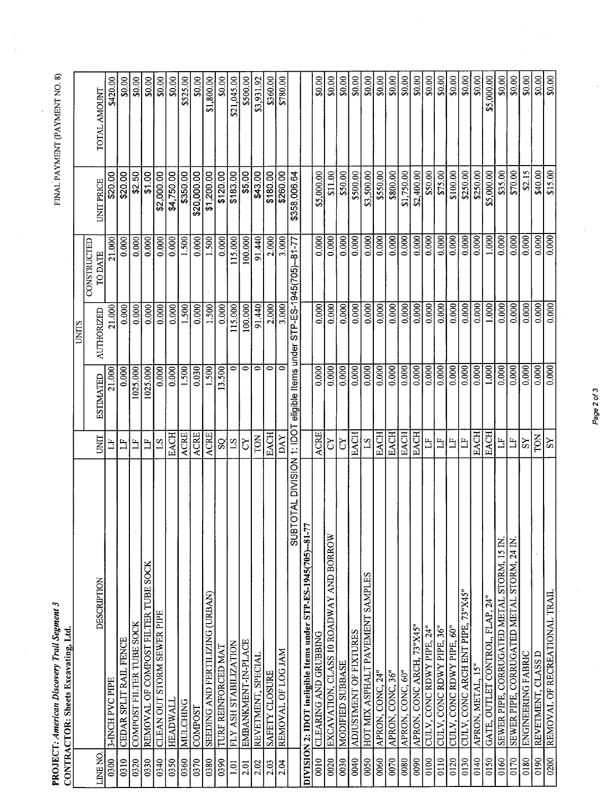|               | PROJECT: American Discovery Trail Segment 3<br>CONTRACTOR: Sheets Excavating, Ltd |              |                      |                   |                                      |                    | FINAL PAYMENT (PAYMENT NO. 8) |
|---------------|-----------------------------------------------------------------------------------|--------------|----------------------|-------------------|--------------------------------------|--------------------|-------------------------------|
|               |                                                                                   |              |                      | <b>UNITS</b>      |                                      |                    |                               |
| LINE NO.      | DESCRIPTION                                                                       | <b>UNIT</b>  | <b>ESTIMATED</b>     | <b>AUTHORIZED</b> | <b>CONSTRUCTED</b><br><b>TO DATE</b> | <b>UNIT PRICE</b>  | TOTAL AMOUNT                  |
| $-0300$       | 3-INCH PVC PIPE                                                                   | $\mathbb{H}$ | 21.000               | 21.000            | 21.000                               | \$20.00            | \$420.00                      |
| 0310          | CEDAR SPLIT RAIL FENCE                                                            | 凸            | 0.000                | 0.000             | 0.000                                | \$20.00            | \$0.00                        |
| 0320          | COMPOST FILTER TUBE SOCK                                                          | H            | 1025.000             | 0.000             | 0.000                                | \$2.50             | \$0.00                        |
| 0330          | REMOVAL OF COMPOST FILTER TUBE SOCK                                               | $\mathbb{H}$ | 1025.000             | 0.000             | 0.000                                | \$1.00             | \$0.00                        |
| 0340          | <b>CLEAN OUT STORM SEWER PIPE</b>                                                 | $^{21}$      | 0.000                | 0.000             | 0.000                                | \$2,000.00         | \$0.00                        |
| 0350          | <b>HEADWALL</b>                                                                   | EACH         | $\overline{0.000}$   | 0.000             | 0.000                                | \$4,750.00         | \$0.00                        |
| 0360          | MULCHING                                                                          | <b>ACRE</b>  | 1.500                | 1.500             | 1.500                                | \$350.00           | \$525.00                      |
| 0370          | COMPOST                                                                           | <b>ACRE</b>  | 0.030                | 0.000             | 0.000                                | \$20,000.00        | \$0.00                        |
| 0380          | SEEDING AND FERTILIZING (URBAN)                                                   | <b>ACRE</b>  | 1.500                | 1.500             | 1.500                                | \$1,200.00         | \$1,800.00                    |
| 0390          | TURF REINFORCED MAT                                                               | SQ           | 13.500               | 0.000             | 0.000                                | \$120.00           | \$0.00                        |
| 1.01          | FLY ASH STABILIZATION                                                             | $\Sigma$     | $\circ$              | 115.000           | 115.000                              | $\frac{1}{183.00}$ | \$21,045.00                   |
| 2.01          | EMBANKMENT-IN-PLACE                                                               | <b>S</b>     | $\circ$              | 100.000           | 100.000                              | \$5.00             | \$500.00                      |
| 2.02          | REVETMENT, SPECIAL                                                                | TON          | $\bullet$            | 91.440            | 91.440                               | \$43.00            | \$3,931.92                    |
| 2.03          | SAFETY CLOSURE                                                                    | EACH         | $\circ$              | 2.000             | 2.000                                | \$180.00           | \$360.00                      |
| 2.04          | REMOVAL OF LOG JAM                                                                | <b>DAY</b>   | $\circ$              | 3.000             | 3.000                                | \$260.00           | \$780.00                      |
|               | SUBTOTAL DIVISION                                                                 | 1: IDOT      | eligible Items under | STP-ES-1945(705)  | $17 - 18 - 1$                        | \$358,006.64       |                               |
|               | DIVISION 2: IDOT ineligible Items under STP-ES-1945(705)--81-77                   |              |                      |                   |                                      |                    |                               |
| 0010          | CLEARING AND GRUBBING                                                             | <b>ACRE</b>  | 0.000                | 0.000             | 0.000                                | \$5,000.00         | \$0.00                        |
| 0020          | EXCAVATION, CLASS 10 ROADWAY AND BORROW                                           | čY           | 0.000                | 0.000             | 0.000                                | \$11.00            | \$0.00                        |
| 0030          | MODIFIED SUBBASE                                                                  | <b>ZC</b>    | 0.000                | 0.000             | 0.000                                | \$50.00            | \$0.00                        |
| 0040          | ADJUSTMENT OF FIXTURES                                                            | <b>EACH</b>  | 0.000                | 0.000             | 0.000                                | \$500.00           | \$0.00                        |
| 0050          | HOT MIX ASPHALT PAVEMENT SAMPLES                                                  | 21           | 0.000                | 0.000             | 0.000                                | \$3,500.00         | \$0.00                        |
| 0060          | APRON, CONC, 24"                                                                  | <b>EACH</b>  | 0.000                | 0.000             | 0.000                                | \$550.00           | \$0.00                        |
| 0070          | APRON, CONC, 36"                                                                  | EACH         | 0.000                | 0.000             | 0.000                                | \$800.00           | \$0.00                        |
| 080           | APRON, CONC, 60"                                                                  | EACH         | 0.000                | 0.000             | 0.000                                | \$1,750.00         | $\frac{$0.00}{2}$             |
| $\frac{1}{2}$ | APRON, CONC ARCH, 73"X45"                                                         | <b>EACH</b>  | 0.000                | 0.000             | 0.000                                | \$2,400.00         | \$0.00                        |
| 0100          | CULV, CONCRDWY PIPE, 24"                                                          | $\mathbb{H}$ | $\overline{0.000}$   | 0.000             | $\overline{0.000}$                   | \$50.00            | $\frac{1}{2}$                 |
| 0110          | CULV, CONCRDWY PIPE, 36"                                                          | $\mathbb{H}$ | 0.000                | 0.000             | 0.000                                | \$75.00            | \$0.00                        |
| 0120          | CULV, CONCRDWY PIPE, 60"                                                          | $\Xi$        | 0.000                | 0.000             | 0.000                                | \$100.00           | \$0.00                        |
| 0130          | CULV, CONC ARCH ENT PIPE, 73"X45"                                                 | $\Xi$        | 0.000                | 0.000             | 0.000                                | \$250.00           | \$0.00                        |
| 0140          | APRON, METAL, 15"                                                                 | <b>EACH</b>  | 0.000                | 0.000             | 0.000                                | \$250.00           | \$0.00                        |
| 0150          | GATE, OUTLET CONTROL, FLAP, 24"                                                   | <b>EACH</b>  | 1.000                | 1.000             | 1.000                                | \$5,000.00         | \$5,000.00                    |
| 0160          | SEWER PIPE, CORRUGATED METAL STORM, 15 IN.                                        | E            | 0.000                | 0.000             | 0.000                                | \$35.00            | \$0.00                        |
| 0170          | SEWER PIPE, CORRUGATED METAL STORM, 24 IN.                                        | Ë            | 0.000                | 0.000             | 0.000                                | \$70.00            | \$0.00                        |
| 0180          | ENGINEERING FABRIC                                                                | SS           | 0.000                | 0.000             | 0.000                                | \$2.15             | \$0.00                        |
| 0190          | REVETMENT, CLASS D                                                                | FON          | 0.000                | 0.000             | 0.000                                | \$40.00            | $rac{1}{20.00}$               |
| 0200          | REMOVAL OF RECREATIONAL TRAIL                                                     | SS           | 0.000                | 0.000             | 0.000                                | \$15.00            | 60.00                         |

Page 2 of 3 Page 2 of 3

 $\ddot{\cdot}$  $\mathbf{f}$ j